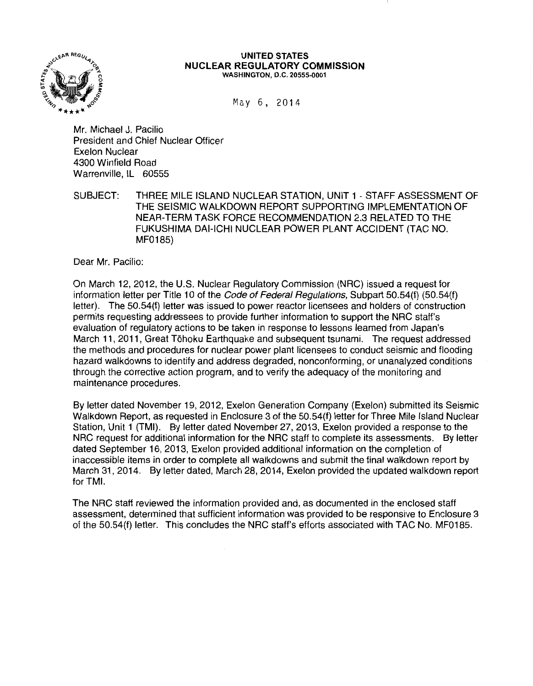

#### UNITED STATES NUCLEAR REGULATORY COMMISSION WASHINGTON, D.C. 20555-0001

May 6, 2014

Mr. Michael J. Pacilio President and Chief Nuclear Officer Exelon Nuclear 4300 Winfield Road Warrenville, IL 60555

SUBJECT: THREE MILE ISLAND NUCLEAR STATION, UNIT 1 -STAFF ASSESSMENT OF THE SEISMIC WALKDOWN REPORT SUPPORTING IMPLEMENTATION OF NEAR-TERM TASK FORCE RECOMMENDATION 2.3 RELATED TO THE FUKUSHIMA DAI-ICHI NUCLEAR POWER PLANT ACCIDENT {TAC NO. MF0185)

Dear Mr. Pacilio:

On March 12, 2012, the U.S. Nuclear Regulatory Commission (NRC) issued a request for information letter per Title 10 of the *Code of Federal Regulations*, Subpart 50.54(f) (50.54(f) letter). The 50.54(f) letter was issued to power reactor licensees and holders of construction permits requesting addressees to provide further information to support the NRC staff's evaluation of regulatory actions to be taken in response to lessons learned from Japan's March 11, 2011, Great Tohoku Earthquake and subsequent tsunami. The request addressed the methods and procedures for nuclear power plant licensees to conduct seismic and flooding hazard walkdowns to identify and address degraded, nonconforming, or unanalyzed conditions through the corrective action program, and to verify the adequacy of the monitoring and maintenance procedures.

By letter dated November 19, 2012, Exelon Generation Company (Exelon) submitted its Seismic Walkdown Report, as requested in Enclosure 3 of the 50.54{f) letter for Three Mile Island Nuclear Station, Unit 1 (TMI). By letter dated November 27, 2013, Exelon provided a response to the NRC request for additional information for the NRC staff to complete its assessments. By letter dated September 16, 2013, Exelon provided additional information on the completion of inaccessible items in order to complete all walkdowns and submit the final walkdown report by March 31, 2014. By letter dated, March 28, 2014, Exelon provided the updated walkdown report for TMI.

The NRC staff reviewed the information provided and, as documented in the enclosed staff assessment, determined that sufficient information was provided to be responsive to Enclosure 3 of the 50.54{f) letter. This concludes the NRC staff's efforts associated with TAC No. MF0185.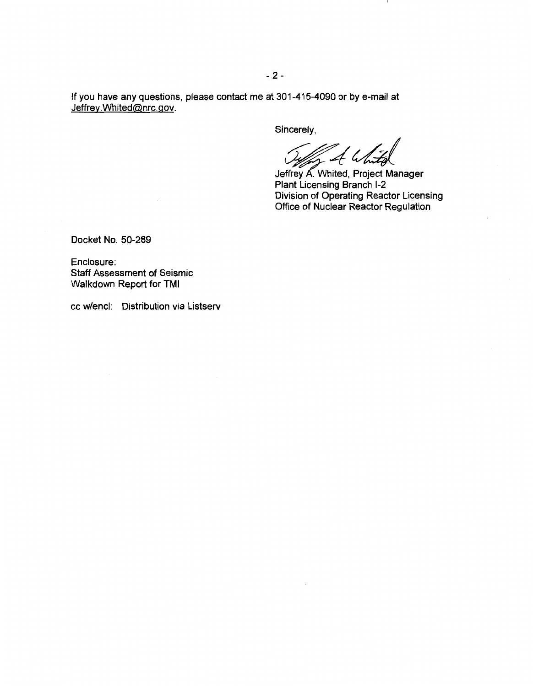If you have any questions, please contact me at 301-415-4090 or by e-mail at Jeffrey.Whited@nrc.gov.

Sincerely,

4 W

Jeffrey A. Whited, Project Manager<br>Plant Licensing Branch I-2 Division of Operating Reactor Licensing Office of Nuclear Reactor Regulation

Docket No. 50-289

Enclosure: Staff Assessment of Seismic Walkdown Report for TMI

cc w/encl: Distribution via Listserv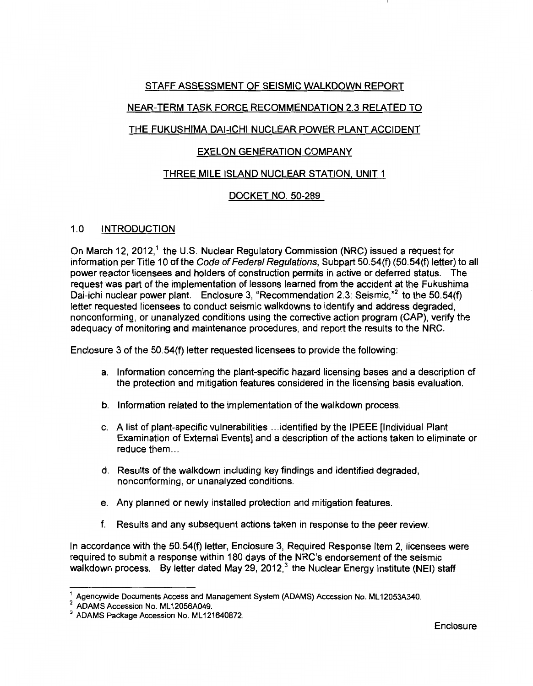### STAFF ASSESSMENT OF SEISMIC WALKDOWN REPORT

# NEAR-TERM TASK FORCE RECOMMENDATION 2.3 RELATED TO

# THE FUKUSHIMA DAI-ICHI NUCLEAR POWER PLANT ACCIDENT

### EXELON GENERATION COMPANY

### THREE MILE ISLAND NUCLEAR STATION. UNIT 1

# DOCKET NO. 50-289

### 1.0 INTRODUCTION

On March 12, 2012,<sup>1</sup> the U.S. Nuclear Regulatory Commission (NRC) issued a request for information per Title 10 of the Code of Federal Regulations, Subpart 50.54(f) (50.54(f) letter) to all power reactor licensees and holders of construction permits in active or deferred status. The request was part of the implementation of lessons learned from the accident at the Fukushima Dai-ichi nuclear power plant. Enclosure 3, "Recommendation 2.3: Seismic, $n^2$  to the 50.54(f) letter requested licensees to conduct seismic walkdowns to identify and address degraded, nonconforming, or unanalyzed conditions using the corrective action program (CAP), verify the adequacy of monitoring and maintenance procedures, and report the results to the NRC.

Enclosure 3 of the 50.54(f) letter requested licensees to provide the following:

- a. Information concerning the plant-specific hazard licensing bases and a description of the protection and mitigation features considered in the licensing basis evaluation.
- b. Information related to the implementation of the walkdown process.
- c. A list of plant-specific vulnerabilities ... identified by the IPEEE [Individual Plant Examination of External Events] and a description of the actions taken to eliminate or reduce them...
- d. Results of the walkdown including key findings and identified degraded, nonconforming, or unanalyzed conditions.
- e. Any planned or newly installed protection and mitigation features.
- f. Results and any subsequent actions taken in response to the peer review.

In accordance with the 50.54(f) letter, Enclosure 3, Required Response Item 2, licensees were required to submit a response within 180 days of the NRC's endorsement of the seismic walkdown process. By letter dated May 29, 2012,<sup>3</sup> the Nuclear Energy Institute (NEI) staff

<sup>1</sup>Agencywide Documents Access and Management System (ADAMS) Accession No. ML 12053A340.

 $^2$  ADAMS Accession No. ML 12056A049.<br> $^3$  ADAMS Package Accession No. ML 121640872.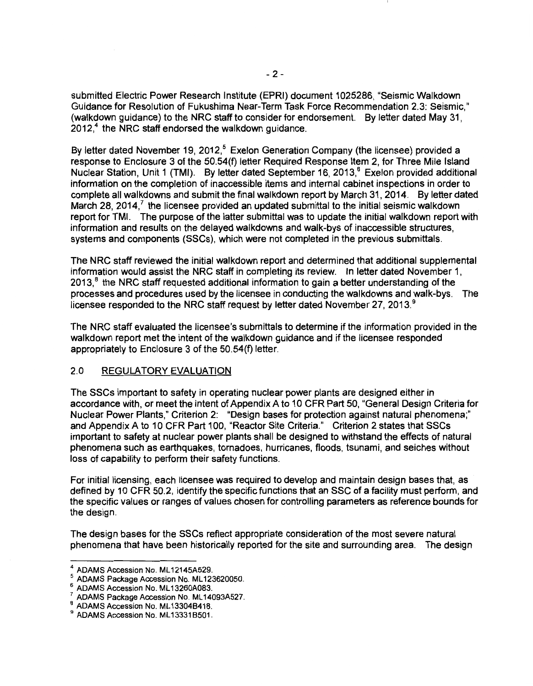submitted Electric Power Research Institute (EPRI) document 1025286, "Seismic Walkdown Guidance for Resolution of Fukushima Near-Term Task Force Recommendation 2.3: Seismic," (walkdown guidance) to the NRC staff to consider for endorsement. By letter dated May 31,  $2012<sup>4</sup>$  the NRC staff endorsed the walkdown guidance.

By letter dated November 19, 2012,<sup>5</sup> Exelon Generation Company (the licensee) provided a response to Enclosure 3 of the 50.54(f) letter Required Response Item 2, for Three Mile Island Nuclear Station, Unit 1 (TMI). By letter dated September 16, 2013.<sup>6</sup> Exelon provided additional information on the completion of inaccessible items and internal cabinet inspections in order to complete all walkdowns and submit the final walkdown report by March 31, 2014. By letter dated March 28, 2014, $<sup>7</sup>$  the licensee provided an updated submittal to the initial seismic walkdown</sup> report for TMI. The purpose of the latter submittal was to update the initial walkdown report with information and results on the delayed walkdowns and walk-bys of inaccessible structures, systems and components (SSCs), which were not completed in the previous submittals.

The NRC staff reviewed the initial walkdown report and determined that additional supplemental information would assist the NRC staff in completing its review. In letter dated November 1,  $2013$ ,  $8$  the NRC staff requested additional information to gain a better understanding of the processes and procedures used by the licensee in conducting the walkdowns and walk-bys. The licensee responded to the NRC staff request by letter dated November 27, 2013.<sup>9</sup>

The NRC staff evaluated the licensee's submittals to determine if the information provided in the walkdown report met the intent of the walkdown guidance and if the licensee responded appropriately to Enclosure 3 of the 50.54(f) letter.

#### 2.0 REGULATORY EVALUATION

The SSCs important to safety in operating nuclear power plants are designed either in accordance with, or meet the intent of Appendix A to 10 CFR Part 50, "General Design Criteria for Nuclear Power Plants," Criterion 2: "Design bases for protection against natural phenomena;" and Appendix A to 10 CFR Part 100, "Reactor Site Criteria." Criterion 2 states that SSCs important to safety at nuclear power plants shall be designed to withstand the effects of natural phenomena such as earthquakes, tornadoes, hurricanes, floods, tsunami, and seiches without loss of capability to perform their safety functions.

For initial licensing, each licensee was required to develop and maintain design bases that, as defined by 10 CFR 50.2, identify the specific functions that an SSC of a facility must perform, and the specific values or ranges of values chosen for controlling parameters as reference bounds for the design.

The design bases for the SSCs reflect appropriate consideration of the most severe natural phenomena that have been historically reported for the site and surrounding area. The design

<sup>&</sup>lt;sup>4</sup> ADAMS Accession No. ML12145A529.<br>5 ADAMS Backage Accession No. ML12

<sup>&</sup>lt;sup>3</sup> ADAMS Package Accession No. ML123620050.<br>
<sup>6</sup> ADAMS Accession No. ML13260A083.<br>
<sup>7</sup> ADAMS Package Accession No. ML14093A527.<br>
<sup>8</sup> ADAMS Accession No. ML13304B418.<br>
<sup>9</sup> ADAMS Accession No. ML13331B501.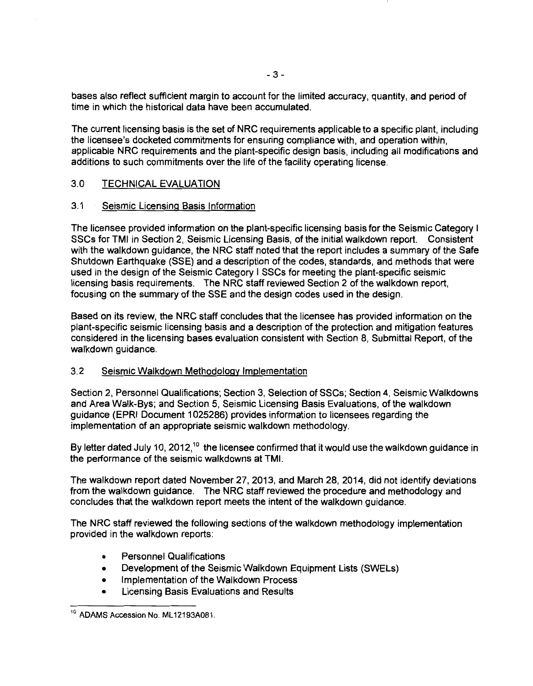bases also reflect sufficient margin to account for the limited accuracy, quantity, and period of time in which the historical data have been accumulated.

The current licensing basis is the set of NRC requirements applicable to a specific plant, including the licensee's docketed commitments for ensuring compliance with, and operation within, applicable NRC requirements and the plant-specific design basis, including all modifications and additions to such commitments over the life of the facility operating license.

### 3.0 TECHNICAL EVALUATION

#### 3.1 Seismic Licensing Basis Information

The licensee provided information on the plant-specific licensing basis for the Seismic Category I SSCs for TMI in Section 2, Seismic Licensing Basis, of the initial walkdown report. Consistent with the walkdown guidance, the NRC staff noted that the report includes a summary of the Safe Shutdown Earthquake (SSE) and a description of the codes, standards, and methods that were used in the design of the Seismic Category I SSCs for meeting the plant-specific seismic licensing basis requirements. The NRC staff reviewed Section 2 of the walkdown report, focusing on the summary of the SSE and the design codes used in the design.

Based on its review, the NRC staff concludes that the licensee has provided information on the plant-specific seismic licensing basis and a description of the protection and mitigation features considered in the licensing bases evaluation consistent with Section 8, Submittal Report, of the walkdown guidance.

#### 3.2 Seismic Walkdown Methodology Implementation

Section 2, Personnel Qualifications; Section 3, Selection of SSCs; Section 4, Seismic Walkdowns and Area Walk-Bys; and Section 5, Seismic Licensing Basis Evaluations, of the walkdown guidance (EPRI Document 1 025286) provides information to licensees regarding the implementation of an appropriate seismic walkdown methodology.

By letter dated July 10, 2012,<sup>10</sup> the licensee confirmed that it would use the walkdown guidance in the performance of the seismic walkdowns at TMI.

The walkdown report dated November 27, 2013, and March 28, 2014, did not identify deviations from the walkdown guidance. The NRC staff reviewed the procedure and methodology and concludes that the walkdown report meets the intent of the walkdown guidance.

The NRC staff reviewed the following sections of the walkdown methodology implementation provided in the walkdown reports:

- Personnel Qualifications
- Development of the Seismic Walkdown Equipment Lists (SWELs)
- Implementation of the Walkdown Process
- Licensing Basis Evaluations and Results

<sup>&</sup>lt;sup>10</sup> ADAMS Accession No. ML12193A081.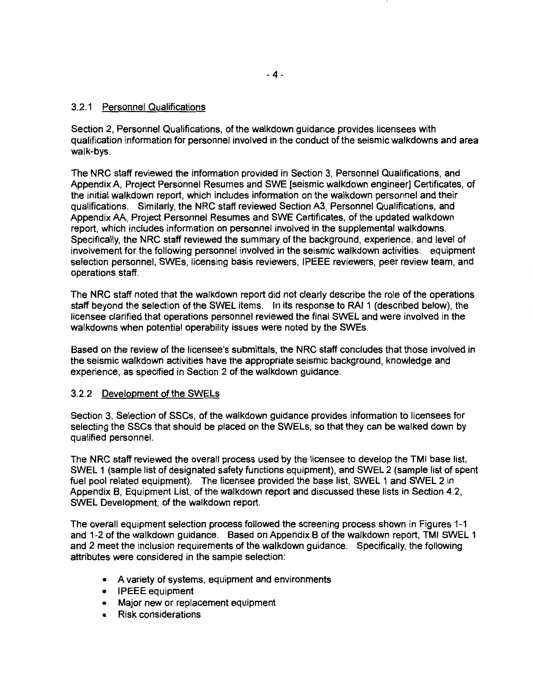### 3.2.1 Personnel Qualifications

Section 2, Personnel Qualifications, of the walkdown guidance provides licensees with qualification information for personnel involved in the conduct of the seismic walkdowns and area walk-bys.

The NRC staff reviewed the information provided in Section 3, Personnel Qualifications, and Appendix A, Project Personnel Resumes and SWE [seismic walkdown engineer] Certificates, of the initial walkdown report, which includes information on the walkdown personnel and their qualifications. Similarly, the NRC staff reviewed Section A3, Personnel Qualifications, and Appendix AA, Project Personnel Resumes and SWE Certificates, of the updated walkdown report, which includes information on personnel involved in the supplemental walkdowns. Specifically, the NRC staff reviewed the summary of the background, experience, and level of involvement for the following personnel involved in the seismic walkdown activities: equipment selection personnel, SWEs, licensing basis reviewers, IPEEE reviewers, peer review team, and operations staff.

The NRC staff noted that the walkdown report did not clearly describe the role of the operations staff beyond the selection of the SWEL items. In its response to RAI 1 (described below), the licensee clarified that operations personnel reviewed the final SWEL and were involved in the walkdowns when potential operability issues were noted by the SWEs.

Based on the review of the licensee's submittals, the NRC staff concludes that those involved in the seismic walkdown activities have the appropriate seismic background, knowledge and experience, as specified in Section 2 of the walkdown guidance.

### 3.2.2 Development of the SWELs

Section 3, Selection of SSCs, of the walkdown guidance provides information to licensees for selecting the SSCs that should be placed on the SWELs, so that they can be walked down by qualified personnel.

The NRC staff reviewed the overall process used by the licensee to develop the TMI base list, SWEL 1 (sample list of designated safety functions equipment), and SWEL 2 (sample list of spent fuel pool related equipment). The licensee provided the base list, SWEL 1 and SWEL 2 in Appendix B, Equipment List, of the walkdown report and discussed these lists in Section 4.2, SWEL Development, of the walkdown report.

The overall equipment selection process followed the screening process shown in Figures 1-1 and 1-2 of the walkdown guidance. Based on Appendix B of the walkdown report, TMI SWEL 1 and 2 meet the inclusion requirements of the walkdown guidance. Specifically, the following attributes were considered in the sample selection:

- A variety of systems, equipment and environments
- IPEEE equipment
- Major new or replacement equipment
- Risk considerations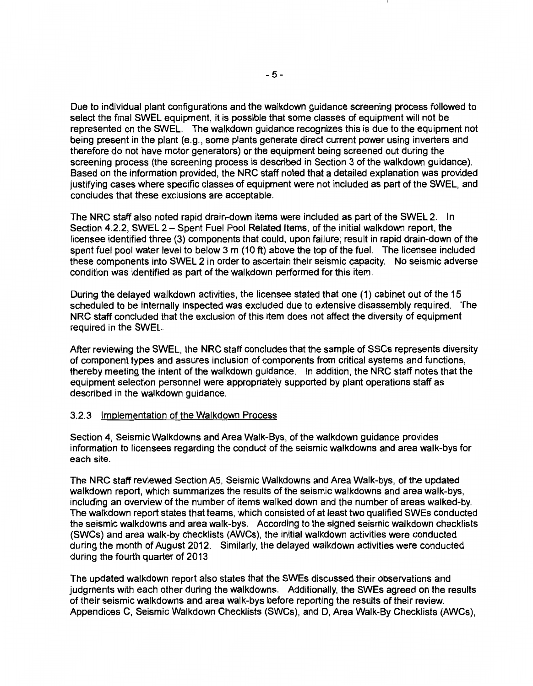Due to individual plant configurations and the walkdown guidance screening process followed to select the final SWEL equipment, it is possible that some classes of equipment will not be represented on the SWEL. The walkdown guidance recognizes this is due to the equipment not being present in the plant (e.g., some plants generate direct current power using inverters and therefore do not have motor generators) or the equipment being screened out during the screening process (the screening process is described in Section 3 of the walkdown guidance). Based on the information provided, the NRC staff noted that a detailed explanation was provided justifying cases where specific classes of equipment were not included as part of the SWEL, and concludes that these exclusions are acceptable.

The NRC staff also noted rapid drain-down items were included as part of the SWEL 2. In Section 4.2.2, SWEL 2 - Spent Fuel Pool Related Items, of the initial walkdown report, the licensee identified three (3) components that could, upon failure; result in rapid drain-down of the spent fuel pool water level to below 3 m (10 ft) above the top of the fuel. The licensee included these components into SWEL 2 in order to ascertain their seismic capacity. No seismic adverse condition was identified as part of the walkdown performed for this item.

During the delayed walkdown activities, the licensee stated that one (1) cabinet out of the 15 scheduled to be internally inspected was excluded due to extensive disassembly required. The NRC staff concluded that the exclusion of this item does not affect the diversity of equipment required in the SWEL.

After reviewing the SWEL, the NRC staff concludes that the sample of SSCs represents diversity of component types and assures inclusion of components from critical systems and functions, thereby meeting the intent of the walkdown guidance. In addition, the NRC staff notes that the equipment selection personnel were appropriately supported by plant operations staff as described in the walkdown guidance.

#### 3.2.3 Implementation of the Walkdown Process

Section 4, Seismic Walkdowns and Area Walk-Bys, of the walkdown guidance provides information to licensees regarding the conduct of the seismic walkdowns and area walk-bys for each site.

The NRC staff reviewed Section AS, Seismic Walkdowns and Area Walk-bys, of the updated walkdown report, which summarizes the results of the seismic walkdowns and area walk-bys, including an overview of the number of items walked down and the number of areas walked-by. The walkdown report states that teams, which consisted of at least two qualified SWEs conducted the seismic walkdowns and area walk-bys. According to the signed seismic walkdown checklists (SWCs) and area walk-by checklists (AWCs), the initial walkdown activities were conducted during the month of August 2012. Similarly, the delayed walkdown activities were conducted during the fourth quarter of 2013

The updated walkdown report also states that the SWEs discussed their observations and judgments with each other during the walkdowns. Additionally, the SWEs agreed on the results of their seismic walkdowns and area walk-bys before reporting the results of their review. Appendices C, Seismic Walkdown Checklists (SWCs), and D, Area Walk-By Checklists (AWCs),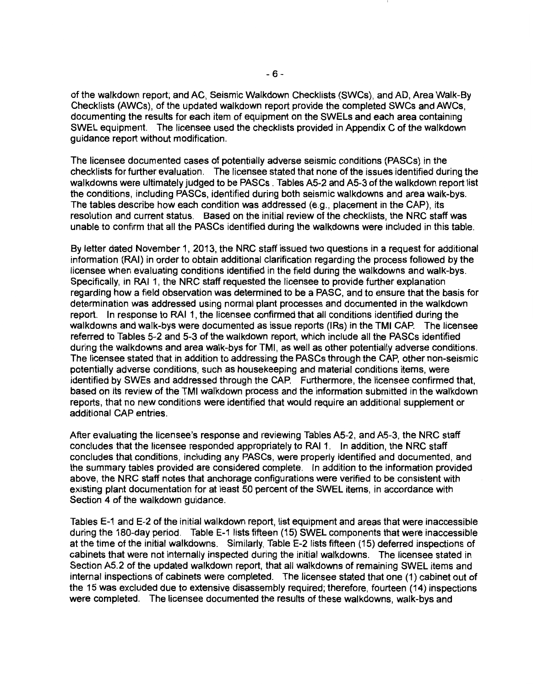of the walkdown report; and AC, Seismic Walkdown Checklists (SWCs), and AD, Area Walk-By Checklists (AWCs), of the updated walkdown report provide the completed SWCs and AWCs, documenting the results for each item of equipment on the SWELs and each area containing SWEL equipment. The licensee used the checklists provided in Appendix C of the walkdown guidance report without modification.

The licensee documented cases of potentially adverse seismic conditions (PASCs) in the checklists for further evaluation. The licensee stated that none of the issues identified during the walkdowns were ultimately judged to be PASCs . Tables A5-2 and A5-3 of the walkdown report list the conditions, including PASCs, identified during both seismic walkdowns and area walk-bys. The tables describe how each condition was addressed (e.g., placement in the CAP), its resolution and current status. Based on the initial review of the checklists, the NRC staff was unable to confirm that all the PASCs identified during the walkdowns were included in this table.

By letter dated November 1, 2013, the NRC staff issued two questions in a request for additional information (RAI) in order to obtain additional clarification regarding the process followed by the licensee when evaluating conditions identified in the field during the walkdowns and walk-bys. Specifically, in RAI 1, the NRC staff requested the licensee to provide further explanation regarding how a field observation was determined to be a PASC, and to ensure that the basis for determination was addressed using normal plant processes and documented in the walkdown report. In response to RAI 1, the licensee confirmed that all conditions identified during the walkdowns and walk-bys were documented as issue reports (IRs) in the TMI CAP. The licensee referred to Tables 5-2 and 5-3 of the walkdown report, which include all the PASCs identified during the walkdowns and area walk-bys for TMI, as well as other potentially adverse conditions. The licensee stated that in addition to addressing the PASCs through the CAP, other non-seismic potentially adverse conditions, such as housekeeping and material conditions items, were identified by SWEs and addressed through the CAP. Furthermore, the licensee confirmed that, based on its review of the TMI walkdown process and the information submitted in the walkdown reports, that no new conditions were identified that would require an additional supplement or additional CAP entries.

After evaluating the licensee's response and reviewing Tables A5-2, and A5-3, the NRC staff concludes that the licensee responded appropriately to RAI 1. In addition, the NRC staff concludes that conditions, including any PASCs, were properly identified and documented, and the summary tables provided are considered complete. In addition to the information provided above, the NRC staff notes that anchorage configurations were verified to be consistent with existing plant documentation for at least 50 percent of the SWEL items, in accordance with Section 4 of the walkdown guidance.

Tables E-1 and E-2 of the initial walkdown report, list equipment and areas that were inaccessible during the 180-day period. Table E-1 lists fifteen (15) SWEL components that were inaccessible at the time of the initial walkdowns. Similarly, Table E-2 lists fifteen (15) deferred inspections of cabinets that were not internally inspected during the initial walkdowns. The licensee stated in Section A5.2 of the updated walkdown report, that all walkdowns of remaining SWEL items and internal inspections of cabinets were completed. The licensee stated that one (1) cabinet out of the 15 was excluded due to extensive disassembly required; therefore, fourteen (14) inspections were completed. The licensee documented the results of these walkdowns, walk-bys and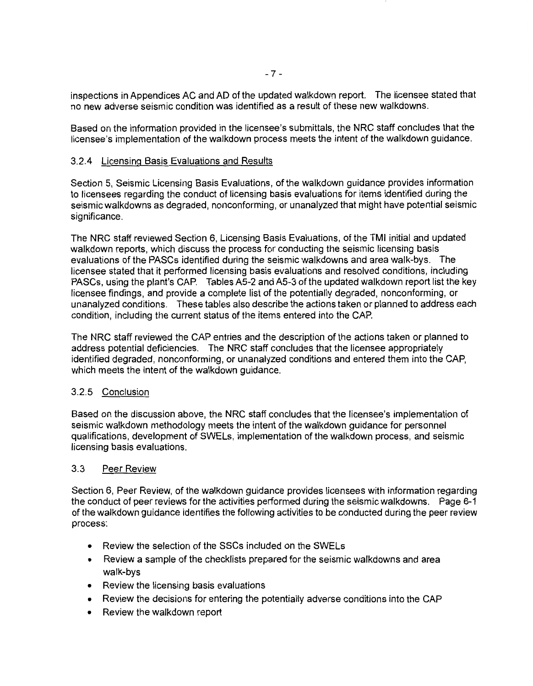inspections in Appendices AC and AD of the updated walkdown report. The licensee stated that no new adverse seismic condition was identified as a result of these new walkdowns.

Based on the information provided in the licensee's submittals, the NRC staff concludes that the licensee's implementation of the walkdown process meets the intent of the walkdown guidance.

#### 3.2.4 Licensing Basis Evaluations and Results

Section 5, Seismic Licensing Basis Evaluations, of the walkdown guidance provides information to licensees regarding the conduct of licensing basis evaluations for items identified during the seismic walkdowns as degraded, nonconforming, or unanalyzed that might have potential seismic significance.

The NRC staff reviewed Section 6, Licensing Basis Evaluations, of the TMI initial and updated walkdown reports, which discuss the process for conducting the seismic licensing basis evaluations of the PASCs identified during the seismic walkdowns and area walk-bys. The licensee stated that it performed licensing basis evaluations and resolved conditions, including PASCs, using the plant's CAP. Tables A5-2 and A5-3 of the updated walkdown report list the key licensee findings, and provide a complete list of the potentially degraded, nonconforming, or unanalyzed conditions. These tables also describe the actions taken or planned to address each condition, including the current status of the items entered into the CAP.

The NRC staff reviewed the CAP entries and the description of the actions taken or planned to address potential deficiencies. The NRC staff concludes that the licensee appropriately identified degraded, nonconforming, or unanalyzed conditions and entered them into the CAP, which meets the intent of the walkdown guidance.

#### 3.2.5 Conclusion

Based on the discussion above, the NRC staff concludes that the licensee's implementation of seismic walkdown methodology meets the intent of the walkdown guidance for personnel qualifications, development of SWELs, implementation of the walkdown process, and seismic licensing basis evaluations.

#### 3.3 Peer Review

Section 6, Peer Review, of the walkdown guidance provides licensees with information regarding the conduct of peer reviews for the activities performed during the seismic walkdowns. Page 6-1 of the walkdown guidance identifies the following activities to be conducted during the peer review process:

- Review the selection of the SSCs included on the SWELs
- Review a sample of the checklists prepared for the seismic walkdowns and area walk-bys
- Review the licensing basis evaluations
- Review the decisions for entering the potentially adverse conditions into the CAP
- Review the walkdown report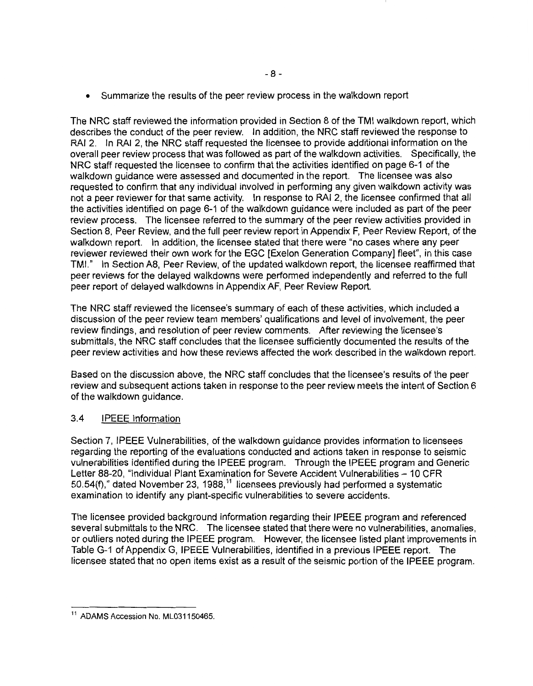• Summarize the results of the peer review process in the walkdown report

The NRC staff reviewed the information provided in Section 8 of the TMI walkdown report, which describes the conduct of the peer review. In addition, the NRC staff reviewed the response to RAI 2. In RAI 2, the NRC staff requested the licensee to provide additional information on the overall peer review process that was followed as part of the walkdown activities. Specifically, the NRC staff requested the licensee to confirm that the activities identified on page 6-1 of the walkdown guidance were assessed and documented in the report. The licensee was also requested to confirm that any individual involved in performing any given walkdown activity was not a peer reviewer for that same activity. In response to RAI 2, the licensee confirmed that all the activities identified on page 6-1 of the walkdown guidance were included as part of the peer review process. The licensee referred to the summary of the peer review activities provided in Section 8, Peer Review, and the full peer review report in Appendix F, Peer Review Report, of the walkdown report. In addition, the licensee stated that there were "no cases where any peer reviewer reviewed their own work for the EGC [Exelon Generation Company] fleet", in this case TMI." In Section A8, Peer Review, of the updated walkdown report, the licensee reaffirmed that peer reviews for the delayed walkdowns were performed independently and referred to the full peer report of delayed walkdowns in Appendix AF, Peer Review Report.

The NRC staff reviewed the licensee's summary of each of these activities, which included a discussion of the peer review team members' qualifications and level of involvement, the peer review findings, and resolution of peer review comments. After reviewing the licensee's submittals, the NRC staff concludes that the licensee sufficiently documented the results of the peer review activities and how these reviews affected the work described in the walkdown report.

Based on the discussion above, the NRC staff concludes that the licensee's results of the peer review and subsequent actions taken in response to the peer review meets the intent of Section 6 of the walkdown guidance.

### 3.4 IPEEE Information

Section 7, IPEEE Vulnerabilities, of the walkdown guidance provides information to licensees regarding the reporting of the evaluations conducted and actions taken in response to seismic vulnerabilities identified during the IPEEE program. Through the IPEEE program and Generic Letter 88-20, "Individual Plant Examination for Severe Accident Vulnerabilities- 10 CFR 50.54(f)," dated November 23, 1988, 11 licensees previously had performed a systematic examination to identify any plant-specific vulnerabilities to severe accidents.

The licensee provided background information regarding their IPEEE program and referenced several submittals to the NRC. The licensee stated that there were no vulnerabilities, anomalies, or outliers noted during the IPEEE program. However, the licensee listed plant improvements in Table G-1 of Appendix G, IPEEE Vulnerabilities, identified in a previous IPEEE report. The licensee stated that no open items exist as a result of the seismic portion of the IPEEE program.

<sup>&</sup>lt;sup>11</sup> ADAMS Accession No. ML031150465.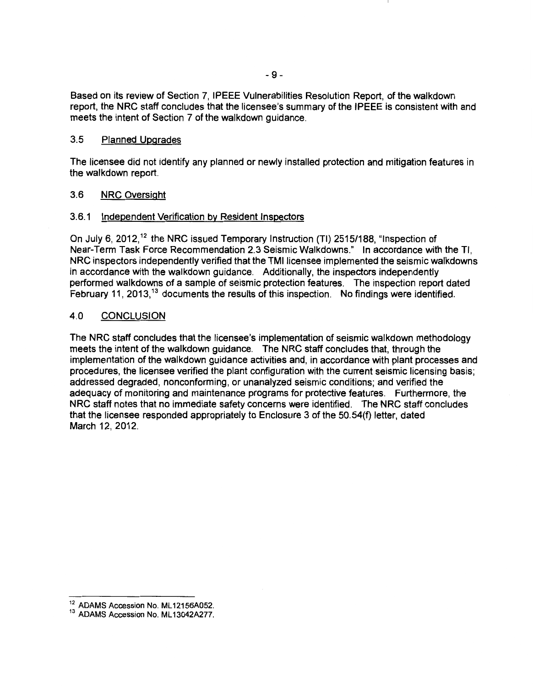Based on its review of Section 7, IPEEE Vulnerabilities Resolution Report, of the walkdown report, the NRC staff concludes that the licensee's summary of the IPEEE is consistent with and meets the intent of Section 7 of the walkdown guidance.

#### 3.5 Planned Upgrades

The licensee did not identify any planned or newly installed protection and mitigation features in the walkdown report.

### 3.6 NRC Oversight

### 3.6.1 Independent Verification by Resident Inspectors

On July 6, 2012,<sup>12</sup> the NRC issued Temporary Instruction (TI) 2515/188, "Inspection of Near-Term Task Force Recommendation 2.3 Seismic Walkdowns." In accordance with the Tl, NRC inspectors independently verified that the TMI licensee implemented the seismic walkdowns in accordance with the walkdown guidance. Additionally, the inspectors independently performed walkdowns of a sample of seismic protection features. The inspection report dated February 11, 2013,  $13$  documents the results of this inspection. No findings were identified.

### 4.0 CONCLUSION

The NRC staff concludes that the licensee's implementation of seismic walkdown methodology meets the intent of the walkdown guidance. The NRC staff concludes that, through the implementation of the walkdown guidance activities and, in accordance with plant processes and procedures, the licensee verified the plant configuration with the current seismic licensing basis; addressed degraded, nonconforming, or unanalyzed seismic conditions; and verified the adequacy of monitoring and maintenance programs for protective features. Furthermore, the NRC staff notes that no immediate safety concerns were identified. The NRC staff concludes that the licensee responded appropriately to Enclosure 3 of the 50.54(f) letter, dated March 12, 2012.

 $^{12}$  ADAMS Accession No. ML 12156A052.<br> $^{13}$  ADAMS Accession No. ML 13042A277.